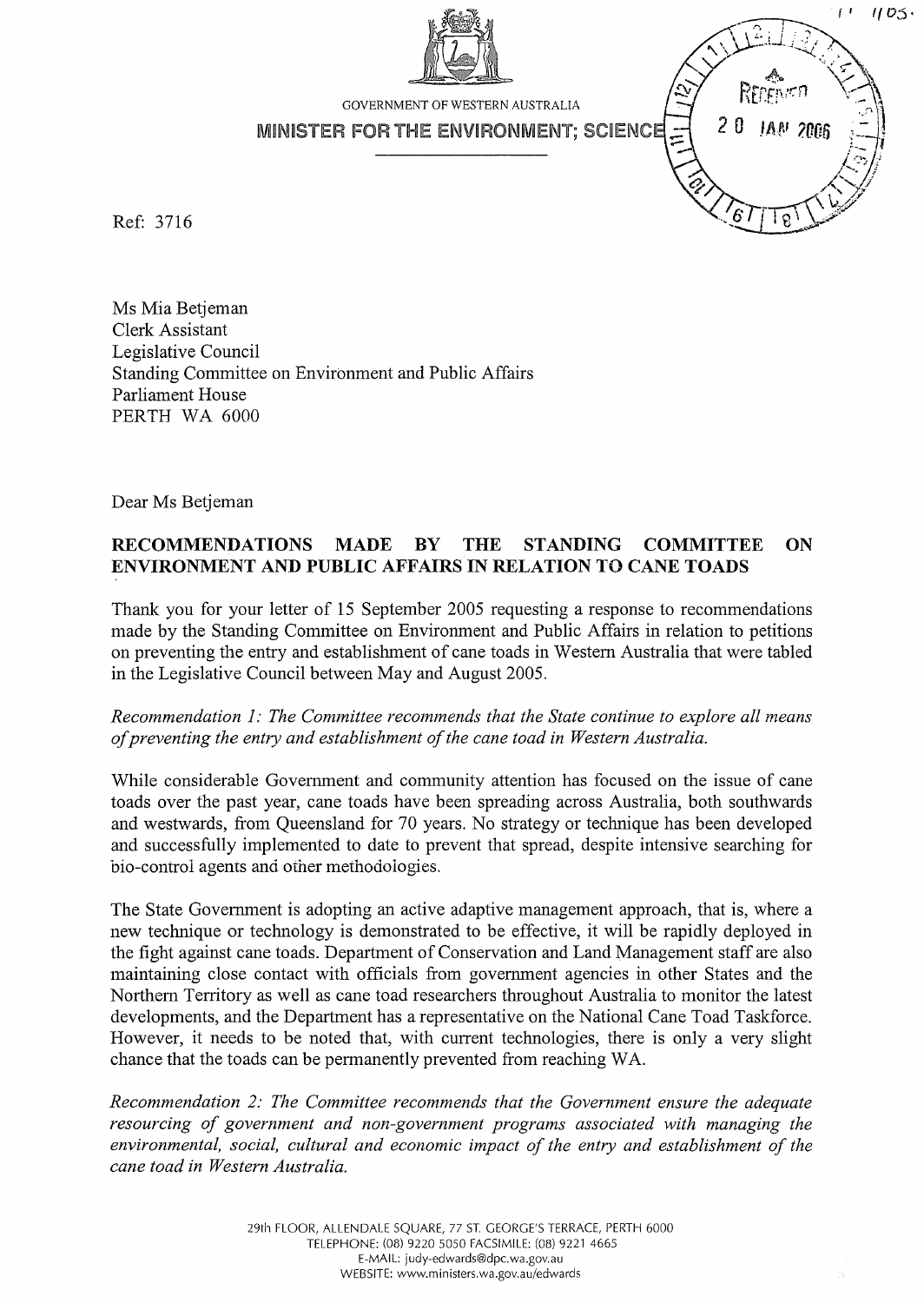

Ref: 3716

Ms Mia Betjeman Clerk Assistant Legislative Council Standing Committee on Environment and Public Affairs Parliament House PERTH WA 6000

Dear Ms Betjeman

## **RECOMMENDATIONS MADE BY THE STANDING COMMITTEE ON ENVIRONMENT AND PUBLIC AFFAIRS IN RELATION TO CANE TOADS**

Thank you for your letter of 15 September 2005 requesting a response to recommendations made by the Standing Committee on Environment and Public Affairs in relation to petitions on preventing the entry and establishment of cane toads in Western Australia that were tabled in the Legislative Council between May and August 2005.

*Recommendation 1: The Committee recommends that the State continue to explore all means of preventing the entry and establishment of the cane toad in Western Australia.* 

While considerable Government and community attention has focused on the issue of cane toads over the past year, cane toads have been spreading across Australia, both southwards and westwards, from Queensland for 70 years. No strategy or technique has been developed and successfully implemented to date to prevent that spread, despite intensive searching for bio-control agents and other methodoiogies.

The State Government is adopting an active adaptive management approach, that is, where a new technique or technology is demonstrated to be effective, it will be rapidly deployed in the fight against cane toads. Department of Conservation and Land Management staff are also maintaining close contact with officials from government agencies in other States and the Northern Territory as well as cane toad researchers throughout Australia to monitor the latest developments, and the Department has a representative on the National Cane Toad Taskforce. However, it needs to be noted that, with current technologies, there is only a very slight chance that the toads can be permanently prevented from reaching WA.

*Recommendation* 2: *The Committee recommends that the Government ensure the adequate resourcing of government and non-government programs associated with managing the environmental, social, cultural and economic impact of the entry and establishment of the cane toad in Western Australia.*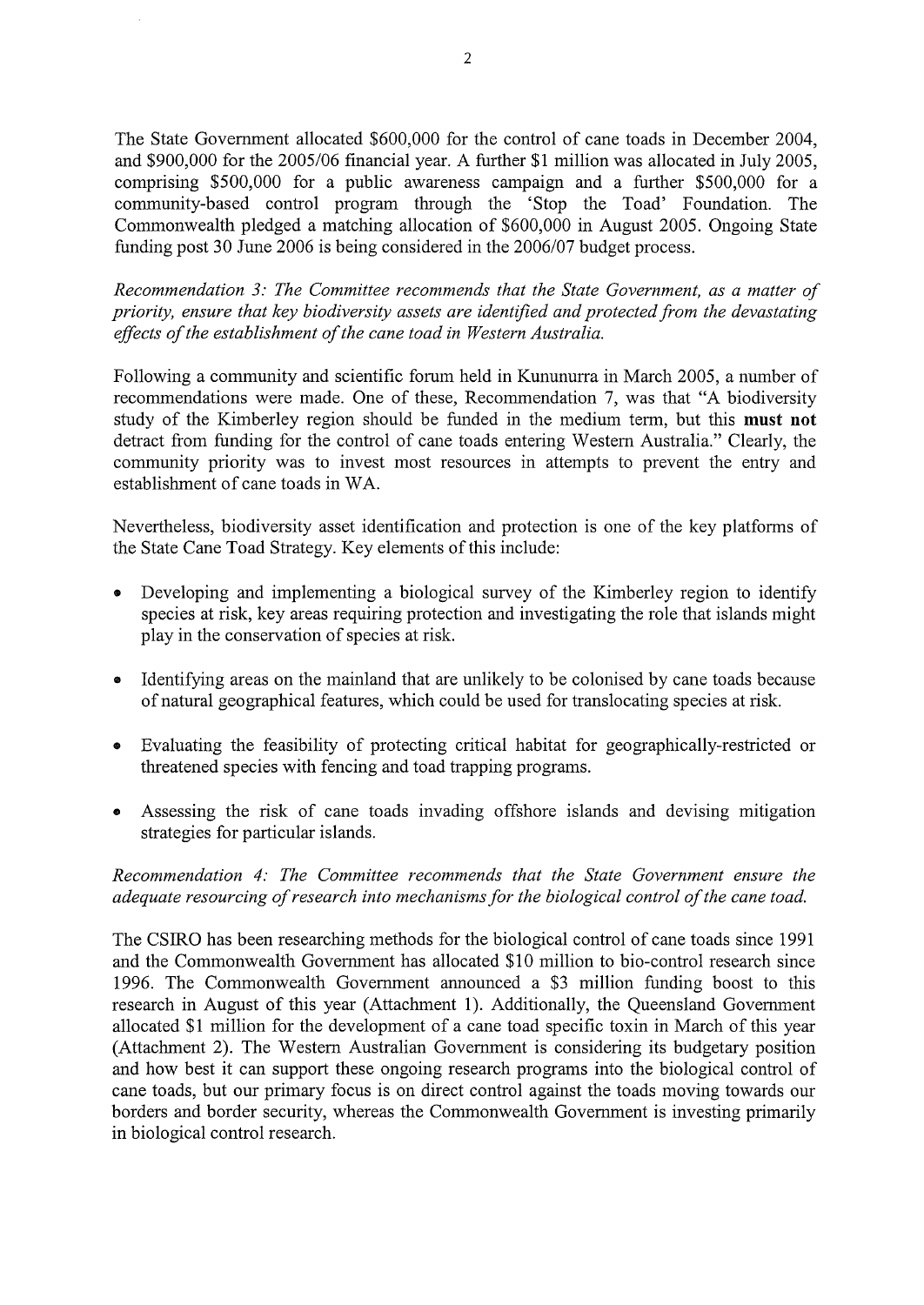The State Government allocated \$600,000 for the control of cane toads in December 2004, and \$900,000 for the 2005/06 financial year. A further \$1 million was allocated in July 2005, comprising \$500,000 for a public awareness campaign and a further \$500,000 for a community-based control program through the 'Stop the Toad' Foundation. The Commonwealth pledged a matching allocation of \$600,000 in August 2005. Ongoing State funding post 30 June 2006 is being considered in the 2006/07 budget process.

*Recommendation* 3: *The Committee recommends that the State Government, as a matter of priority, ensure that key biodiversity assets are identified and protected from the devastating effects of the establishment of the cane toad in Western Australia.* 

Following a community and scientific forum held in Kununurra in March 2005, a number of recommendations were made. One of these, Recommendation 7, was that "A biodiversity study of the Kimberley region should be funded in the medium term, but this **must not**  detract from funding for the control of cane toads entering Western Australia." Clearly, the community priority was to invest most resources in attempts to prevent the entry and establishment of cane toads in WA.

Nevertheless, biodiversity asset identification and protection is one of the key platforms of the State Cane Toad Strategy. Key elements of this include:

- Developing and implementing a biological survey of the Kimberley region to identify species at risk, key areas requiring protection and investigating the role that islands might play in the conservation of species at risk.
- Identifying areas on the mainland that are unlikely to be colonised by cane toads because of natural geographical features, which could be used for translocating species at risk.
- Evaluating the feasibility of protecting critical habitat for geographically-restricted or threatened species with fencing and toad trapping programs.
- Assessing the risk of cane toads invading offshore islands and devising mitigation strategies for particular islands.

*Recommendation* 4: *The Committee recommends that the State Government ensure the adequate resourcing of research into mechanisms for the biological control of the cane toad.* 

The CSIRO has been researching methods for the biological control of cane toads since 1991 and the Commonwealth Government has allocated \$10 million to bio-control research since 1996. The Commonwealth Government announced a \$3 million funding boost to this research in August of this year (Attachment 1). Additionally, the Queensland Government allocated \$1 million for the development of a cane toad specific toxin in March of this year (Attachment 2). The Western Australian Government is considering its budgetary position and how best it can support these ongoing research programs into the biological control of cane toads, but our primary focus is on direct control against the toads moving towards our borders and border security, whereas the Commonwealth Government is investing primarily in biological control research.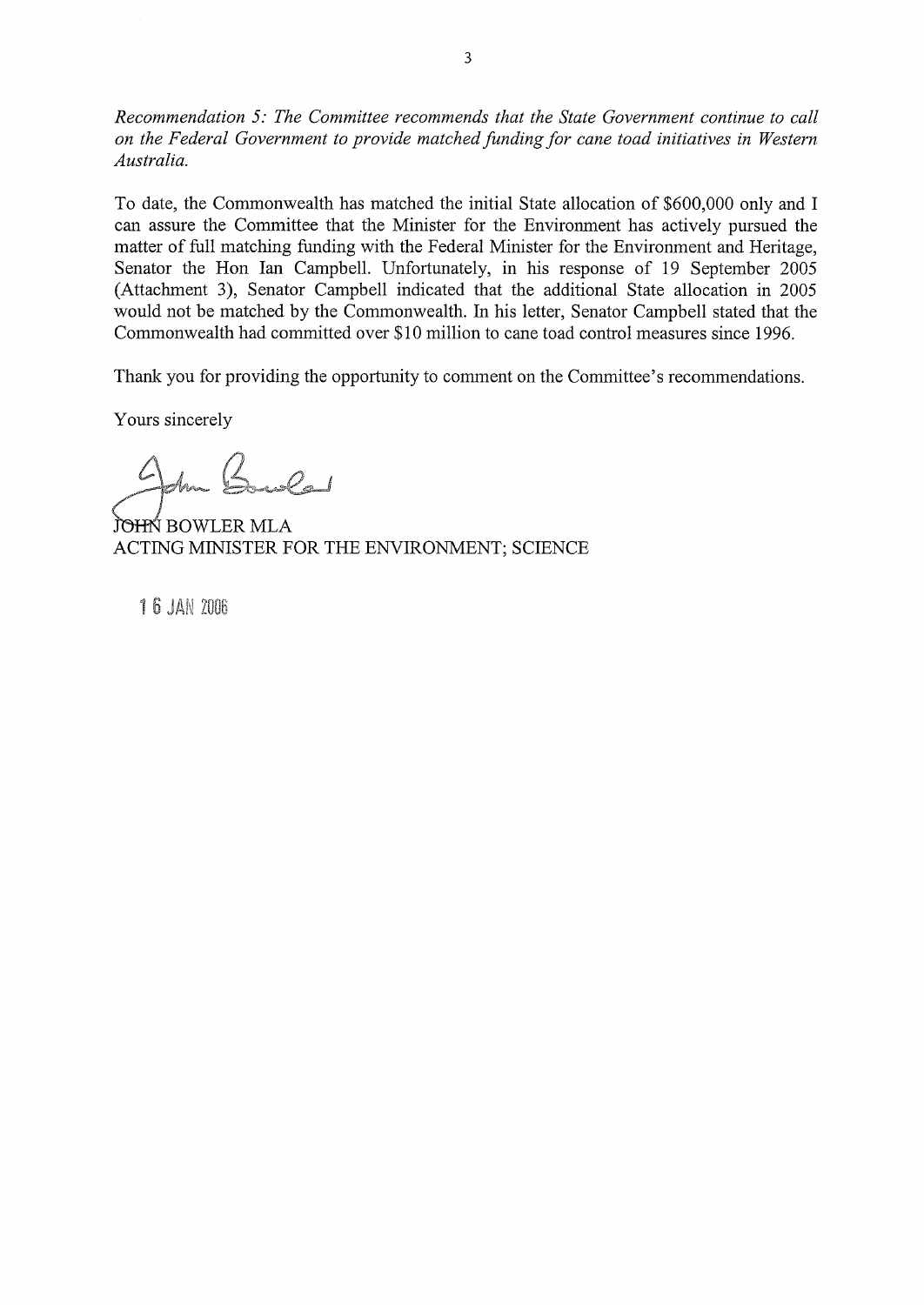*Recommendation* 5: *The Committee recommends that the State Government continue to call on the Federal Government to provide matched funding for cane toad initiatives in Western Australia.* 

To date, the Commonwealth has matched the initial State allocation of \$600,000 only and I can assure the Committee that the Minister for the Environment has actively pursued the matter of full matching funding with the Federal Minister for the Environment and Heritage, Senator the Hon Ian Campbell. Unfortunately, in his response of 19 September 2005 (Attachment 3), Senator Campbell indicated that the additional State allocation in 2005 would not be matched by the Commonwealth. In his letter, Senator Campbell stated that the Commonwealth had committed over \$10 million to cane toad control measures since 1996.

Thank you for providing the opportunity to comment on the Committee's recommendations.

Yours sincerely

Am Buile

JOHN BOWLER MLA ACTING MINISTER FOR THE ENVIRONMENT; SCIENCE

**16 JAN 2006**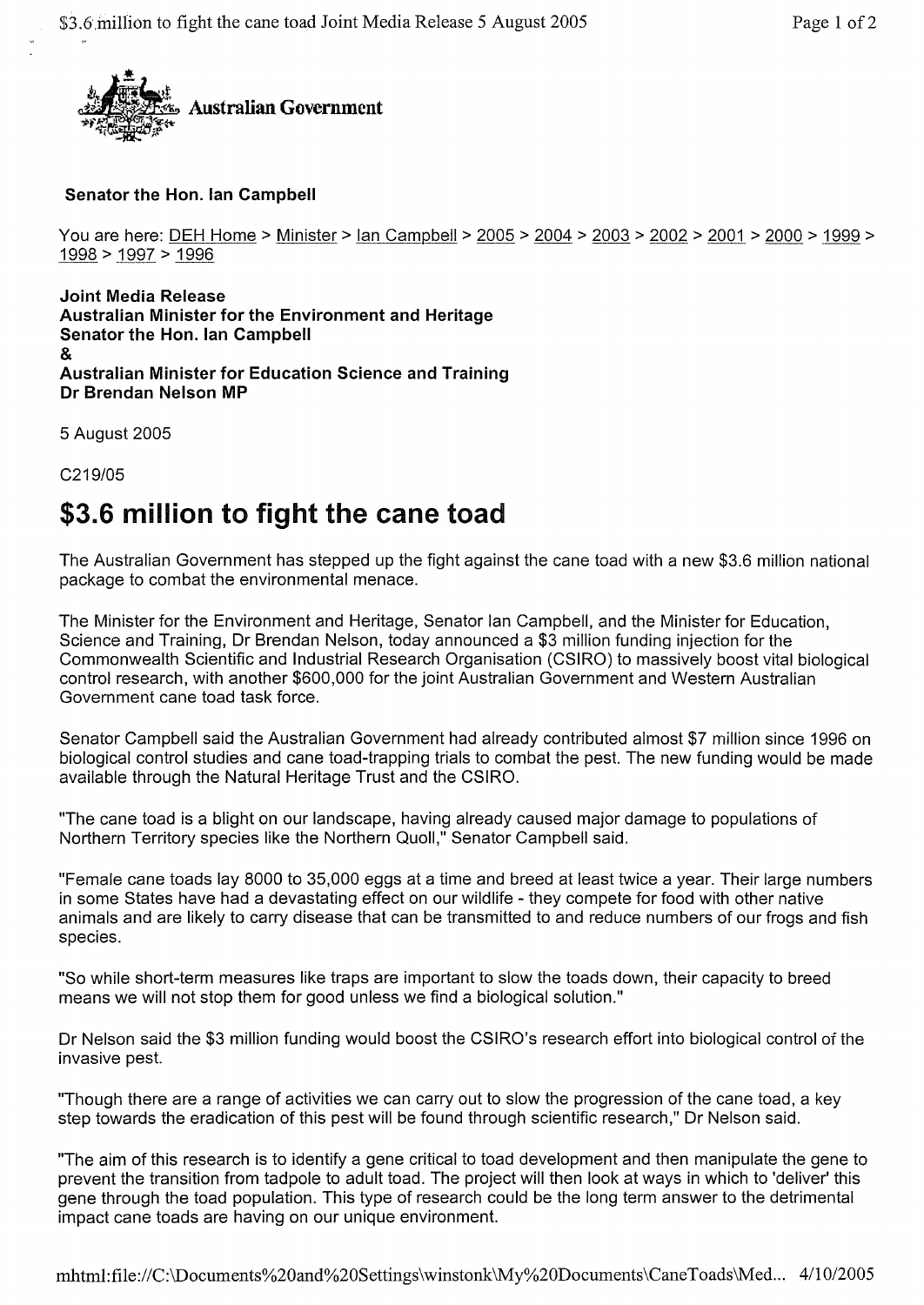

## **Senator the Hon. Ian Campbell**

```
You are here: DEH Home > Minister > lan Campbell > 2005 > 2004 > 2003 > 2002 > 2001 > 2000 > 1999 >
1998 > J997 > 1996
```
**Joint Media Release Australian Minister for the Environment and Heritage Senator the Hon. Ian Campbell**  & **Australian Minister for Education Science and Training Dr Brendan Nelson MP** 

5 August 2005

C219/05

## **\$3.6 million to fight the cane toad**

The Australian Government has stepped up the fight against the cane toad with a new \$3.6 million national package to combat the environmental menace.

The Minister for the Environment and Heritage, Senator Ian Campbell, and the Minister for Education, Science and Training, Dr Brendan Nelson, today announced a \$3 million funding injection for the Commonwealth Scientific and Industrial Research Organisation (CSIRO) to massively boost vital biological control research, with another \$600,000 for the joint Australian Government and Western Australian Government cane toad task force.

Senator Campbell said the Australian Government had already contributed almost \$7 million since 1996 on biological control studies and cane toad-trapping trials to combat the pest. The new funding would be made available through the Natural Heritage Trust and the CSIRO.

"The cane toad is a blight on our landscape, having already caused major damage to populations of Northern Territory species like the Northern Quoll," Senator Campbell said.

"Female cane toads lay 8000 to 35,000 eggs at a time and breed at least twice a year. Their large numbers in some States have had a devastating effect on our wildlife - they compete for food with other native animals and are likely to carry disease that can be transmitted to and reduce numbers of our frogs and fish species.

"So while short-term measures like traps are important to slow the toads down, their capacity to breed means we will not stop them for good unless we find a biological solution."

Dr Nelson said the \$3 million funding would boost the CSIRO's research effort into biological control of the invasive pest.

"Though there are a range of activities we can carry out to slow the progression of the cane toad, a key step towards the eradication of this pest will be found through scientific research," Dr Nelson said.

"The aim of this research is to identify a gene critical to toad development and then manipulate the gene to prevent the transition from tadpole to adult toad. The project will then look at ways in which to 'deliver' this gene through the toad population. This type of research could be the long term answer to the detrimental impact cane toads are having on our unique environment.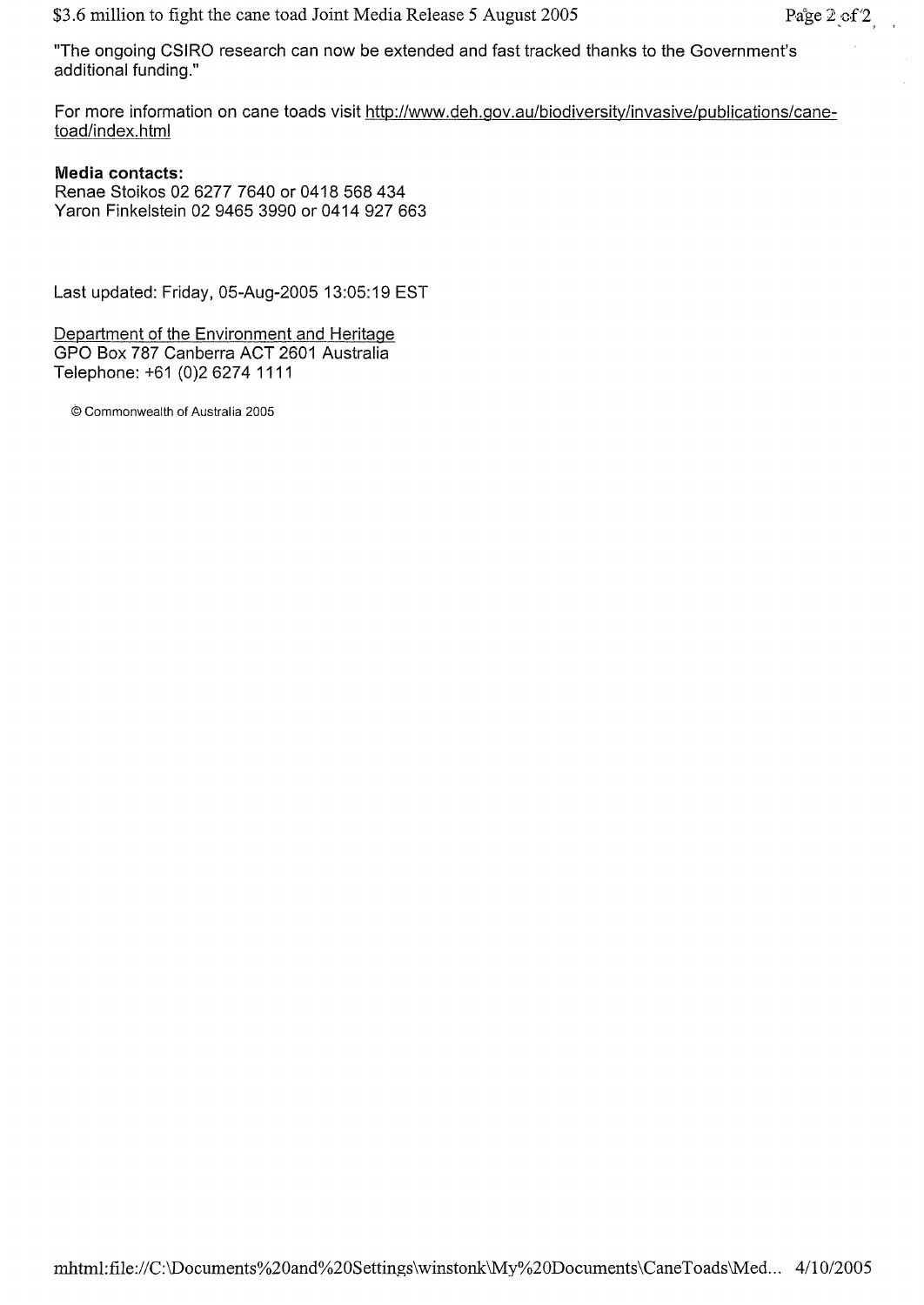"The ongoing CSIRO research can now be extended and fast tracked thanks to the Government's additional funding."

For more information on cane toads visit http://www.deh.gov.au/biodiversity/invasive/publications/canetoad/index.html

## **Media contacts:**

Renae Stoikos 02 6277 7640 or 0418 568 434 Varon Finkelstein 02 9465 3990 or 0414927663

Last updated: Friday, 05-Aug-2005 13:05:19 EST

Department of the Environment and Heritage GPO Box 787 Canberra ACT 2601 Australia Telephone: +61 (0)26274 1111

© Commonwealth of Australia 2005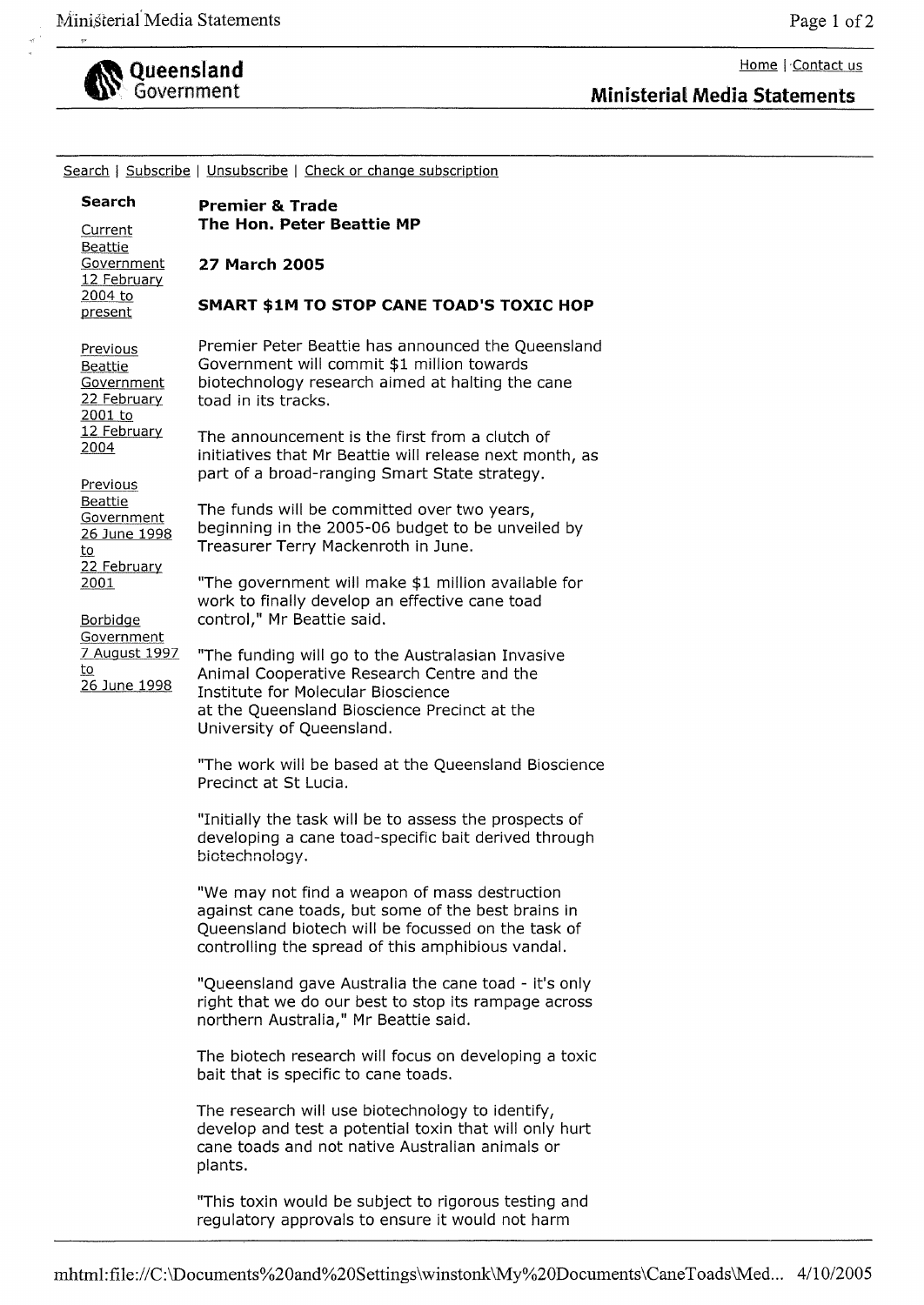

~'i" Government **Ministerial Media Statements** 

| Search   Subscribe   Unsubscribe   Check or change subscription                                                                                                                                                                                         |                                                                                                                                                                                                                                                                                                                                                                                                                                                                                                                                                                                                                                                                                                                                                                                                                                                                                                                                                                                                                                                                                                                                                                                                                                                                                                                                                                                                                                                                                                                                                    |
|---------------------------------------------------------------------------------------------------------------------------------------------------------------------------------------------------------------------------------------------------------|----------------------------------------------------------------------------------------------------------------------------------------------------------------------------------------------------------------------------------------------------------------------------------------------------------------------------------------------------------------------------------------------------------------------------------------------------------------------------------------------------------------------------------------------------------------------------------------------------------------------------------------------------------------------------------------------------------------------------------------------------------------------------------------------------------------------------------------------------------------------------------------------------------------------------------------------------------------------------------------------------------------------------------------------------------------------------------------------------------------------------------------------------------------------------------------------------------------------------------------------------------------------------------------------------------------------------------------------------------------------------------------------------------------------------------------------------------------------------------------------------------------------------------------------------|
| <b>Search</b>                                                                                                                                                                                                                                           | <b>Premier &amp; Trade</b>                                                                                                                                                                                                                                                                                                                                                                                                                                                                                                                                                                                                                                                                                                                                                                                                                                                                                                                                                                                                                                                                                                                                                                                                                                                                                                                                                                                                                                                                                                                         |
| Current<br>Beattie<br>Government<br>12 February                                                                                                                                                                                                         | The Hon. Peter Beattie MP                                                                                                                                                                                                                                                                                                                                                                                                                                                                                                                                                                                                                                                                                                                                                                                                                                                                                                                                                                                                                                                                                                                                                                                                                                                                                                                                                                                                                                                                                                                          |
|                                                                                                                                                                                                                                                         | 27 March 2005                                                                                                                                                                                                                                                                                                                                                                                                                                                                                                                                                                                                                                                                                                                                                                                                                                                                                                                                                                                                                                                                                                                                                                                                                                                                                                                                                                                                                                                                                                                                      |
| present                                                                                                                                                                                                                                                 | <b>SMART \$1M TO STOP CANE TOAD'S TOXIC HOP</b>                                                                                                                                                                                                                                                                                                                                                                                                                                                                                                                                                                                                                                                                                                                                                                                                                                                                                                                                                                                                                                                                                                                                                                                                                                                                                                                                                                                                                                                                                                    |
| 2004 to<br>Previous<br>Beattie<br>Government<br>22 February<br>2001 to<br>12 February<br>2004<br>Previous<br>Beattie<br>Government<br>26 June 1998<br>to<br>22 February<br>2001<br><b>Borbidge</b><br>Government<br>7 August 1997<br>to<br>26 June 1998 | Premier Peter Beattie has announced the Queensland<br>Government will commit \$1 million towards<br>biotechnology research aimed at halting the cane<br>toad in its tracks.<br>The announcement is the first from a clutch of<br>initiatives that Mr Beattie will release next month, as<br>part of a broad-ranging Smart State strategy.<br>The funds will be committed over two years,<br>beginning in the 2005-06 budget to be unveiled by<br>Treasurer Terry Mackenroth in June.<br>"The government will make \$1 million available for<br>work to finally develop an effective cane toad<br>control," Mr Beattie said.<br>"The funding will go to the Australasian Invasive<br>Animal Cooperative Research Centre and the<br>Institute for Molecular Bioscience<br>at the Queensland Bioscience Precinct at the<br>University of Queensland.<br>"The work will be based at the Queensland Bioscience<br>Precinct at St Lucia.<br>"Initially the task will be to assess the prospects of<br>developing a cane toad-specific bait derived through<br>biotechnology.<br>"We may not find a weapon of mass destruction<br>against cane toads, but some of the best brains in<br>Queensland biotech will be focussed on the task of<br>controlling the spread of this amphibious vandal.<br>"Queensland gave Australia the cane toad - it's only<br>right that we do our best to stop its rampage across<br>northern Australia," Mr Beattie said.<br>The biotech research will focus on developing a toxic<br>bait that is specific to cane toads. |
|                                                                                                                                                                                                                                                         | The research will use biotechnology to identify,<br>develop and test a potential toxin that will only hurt<br>cane toads and not native Australian animals or<br>plants.                                                                                                                                                                                                                                                                                                                                                                                                                                                                                                                                                                                                                                                                                                                                                                                                                                                                                                                                                                                                                                                                                                                                                                                                                                                                                                                                                                           |
|                                                                                                                                                                                                                                                         | "This toxin would be subject to rigorous testing and<br>regulatory approvals to ensure it would not harm                                                                                                                                                                                                                                                                                                                                                                                                                                                                                                                                                                                                                                                                                                                                                                                                                                                                                                                                                                                                                                                                                                                                                                                                                                                                                                                                                                                                                                           |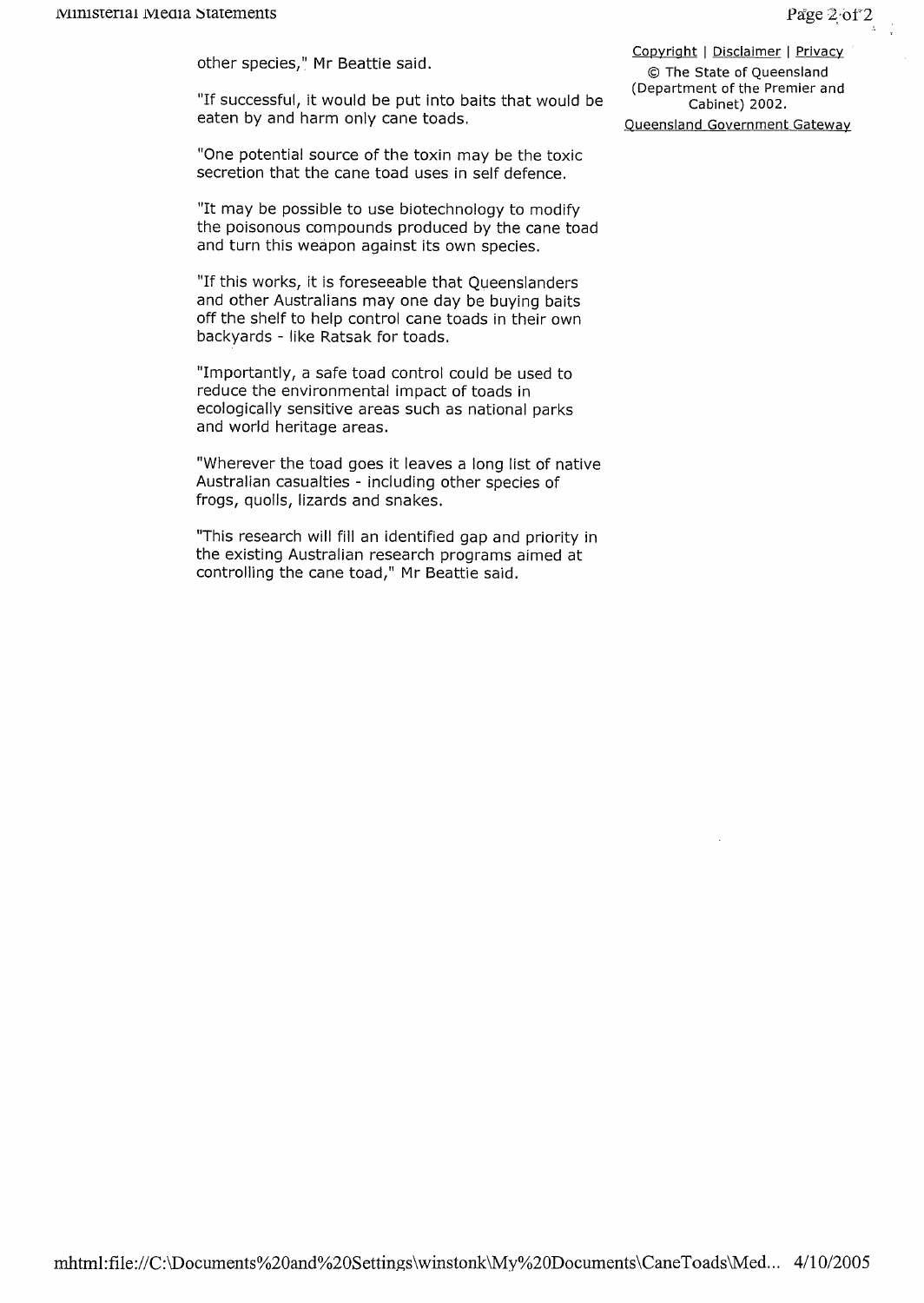other species," Mr Beattie said.

"If successful, it would be put into baits that would be eaten by and harm only cane toads.

"One potential source of the toxin may be the toxic secretion that the cane toad uses in self defence.

"It may be possible to use biotechnology to modify the poisonous compounds produced by the cane toad and turn this weapon against its own species.

"If this works, it is foreseeable that Queenslanders and other Australians may one day be buying baits off the shelf to help control cane toads in their own backyards - like Ratsak for toads.

"Importantly, a safe toad control could be used to reduce the environmental impact of toads in ecologically sensitive areas such as national parks and world heritage areas.

"Wherever the toad goes it leaves a long list of native Australian casualties - including other species of frogs, quolls, lizards and snakes.

"This research will fill an identified gap and priority in the existing Australian research programs aimed at controlling the cane toad," Mr Beattie said.

Copyright | Disclaimer | Privacy © The State of Queensland (Department of the Premier and Cabinet) 2002.

Queensland Government Gateway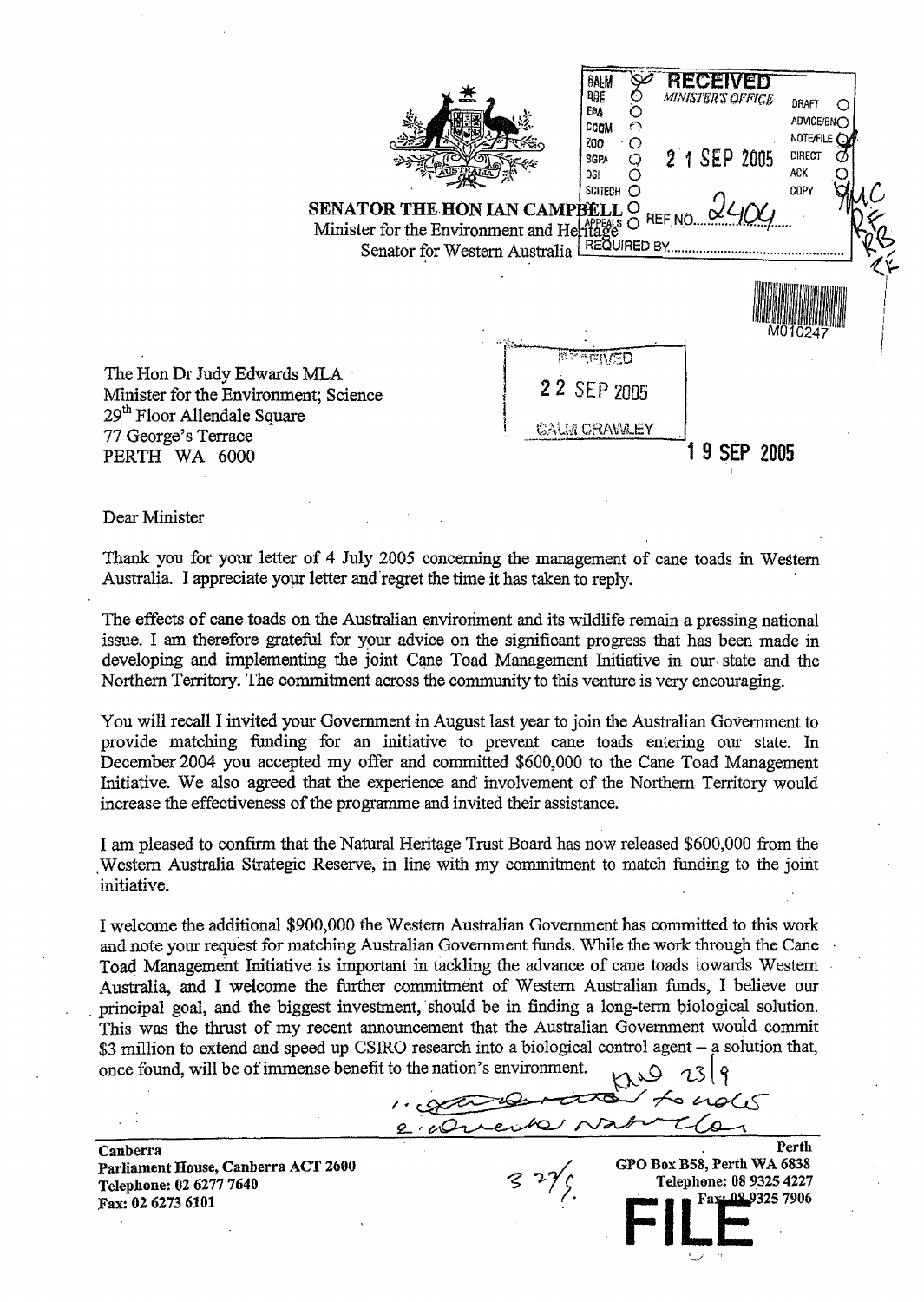$\frac{M_{\text{M}}}{M_{\text{M}}}\sum_{\text{M}}^{N}$  RECEIVED O *minister's office* draft C<br>O EPA O<br>CODM O ADVICE/BNO COOM CO<br>ZOO · O NOTE/FILE<br>DIRECT ZOO O<br>BGPA Q BGPA  $\bigcirc$  2 1 SEP 2005 DIRE  $-2\frac{1}{2}$  ACK **EXAMPLE 2008** SENATOR THE-HON IAN CAMPBELL O Minister for the Environment and Heritage Senator for Western Australia REQUIRED BY. **AFIVED** The Hon Dr Judy Edwards MLA ' 2 2 SEP 2005 Minister for the Environment; Science 29<sup>th</sup> Floor Allendale Square tAU.Jl m:?J\\i\iLEY j , 77 George's Terrace 1 **9 SEP 2005**  PERTH WA 6000

Dear Minister

Thank you for your letter of 4 July 2005 concerning the management of cane toads in Westem Australia. I appreciate your letter and'regret the time it has taken to reply. '

The effects of cane toads on the Australian environment and its wildlife remain a pressing national issue. ! am therefore grateful for your advice on the significant progress that has been made in developing and implementing the joint Cane Toad Management Initiative in our, state and the Northern Territory. The commitment across the community to this venture is very encouraging.

You will recall I invited your Government in August last year to join the Australian Government to provide matching funding for an initiative to prevent cane toads entering our state. In December 2004 you accepted my offer and committed \$600,000 to the Cane Toad Management Initiative. We also agreed that the experience and involvement of the Northern Territory would increase the effectiveness of the programme and invited their assistance.

I am pleased to confirm that the Natural Heritage Trust Board has now released \$600,000 from the Western Australia Strategic Reserve, in line with my commitment to match funding to the joint initiative.

I welcome the additional \$900,000 the Western Australian Govenunent has committed to this work and note your request for matching Australian Government funds. While the work through the Cane Toa4 Management Initiative is important in tackling the advance of cane toads towards Western Australia, and I welcome the further commitment of Western Australian funds, I believe our principal goal, and the biggest investment, should be in finding a long-term biological solution. This was the thrust of my recent announcement that the Australian Govemment would commit \$3 million to extend and speed up CSIRO research into a biological control agent – a solution that, once found, will be of immense benefit to the nation's environment.  $\bigcup_{\zeta} S$   $\bigcap_{\zeta} S$ 

ention's environment.<br>2. August 2007 Langles

Perth

GPO Box B58, Perth WA 6838

Telephone: 08 9325 4227<br>Figure Fax: 08 9325 7906

Canberra Parliament House, Canberra ACT 2600 Telephone: 02 6277 7640 Fax: 026273 6101